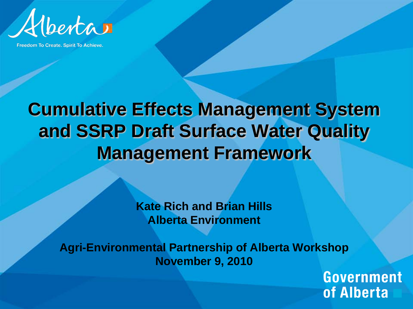

Freedom To Create. Spirit To Achieve.

#### **Cumulative Effects Management System and SSRP Draft Surface Water Quality Management Framework**

**Kate Rich and Brian Hills Alberta Environment**

**Agri-Environmental Partnership of Alberta Workshop November 9, 2010**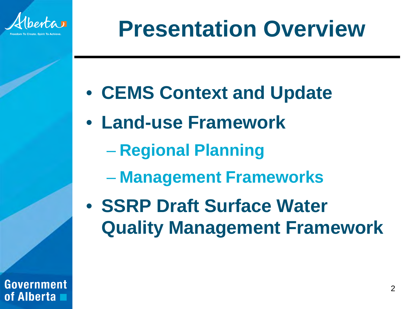

# **Presentation Overview**

- **CEMS Context and Update**
- **Land-use Framework**
	- **Regional Planning**
	- **Management Frameworks**
- **SSRP Draft Surface Water Quality Management Framework**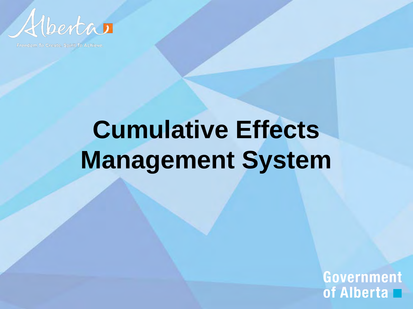

Freedom To Create, Spirit To Achieve.

# **Cumulative Effects Management System**

Government of Alberta  $\Box$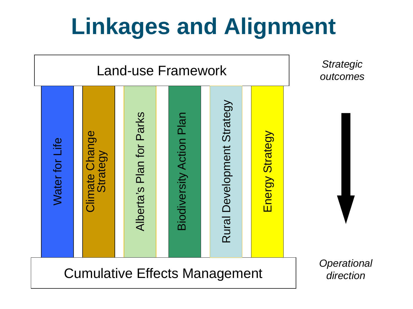# **Linkages and Alignment**

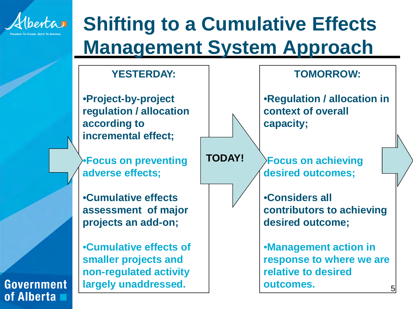

## **Shifting to a Cumulative Effects Management System Approach**

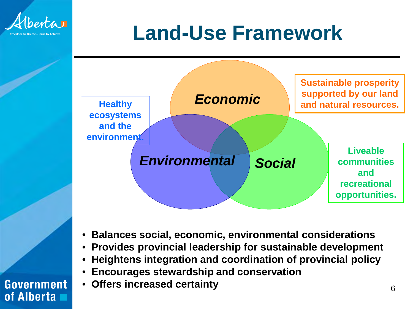

# **Land-Use Framework**



- **Balances social, economic, environmental considerations**
- **Provides provincial leadership for sustainable development**
- **Heightens integration and coordination of provincial policy**
- **Encourages stewardship and conservation**
- **Offers increased certainty**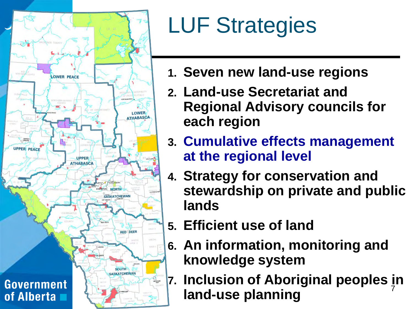

# LUF Strategies

- **1. Seven new land-use regions**
- **2. Land-use Secretariat and Regional Advisory councils for each region**
- **3. Cumulative effects management at the regional level**
- **4. Strategy for conservation and stewardship on private and public lands**
- **5. Efficient use of land**
- **6. An information, monitoring and knowledge system**
- 7 **7. Inclusion of Aboriginal peoples in land-use planning**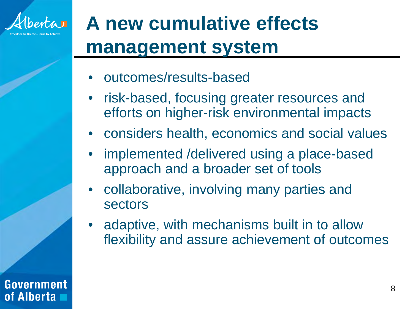

# **A new cumulative effects management system**

- outcomes/results-based
- risk-based, focusing greater resources and efforts on higher-risk environmental impacts
- considers health, economics and social values
- implemented /delivered using a place-based approach and a broader set of tools
- collaborative, involving many parties and sectors
- adaptive, with mechanisms built in to allow flexibility and assure achievement of outcomes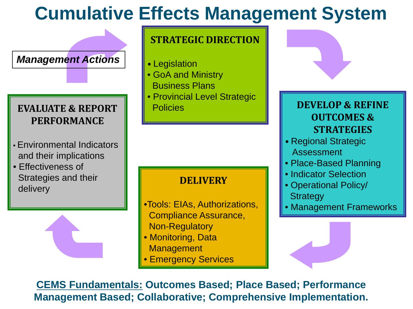### **Cumulative Effects Management System**

*Management Actions*

#### **EVALUATE & REPORT PERFORMANCE**

- Environmental Indicators and their implications
- Effectiveness of Strategies and their delivery



#### **STRATEGIC DIRECTION**

- Legislation
- GoA and Ministry Business Plans
- Provincial Level Strategic Policies **DEVELOP & REFINE**

#### **DELIVERY**

- •Tools: EIAs, Authorizations, Compliance Assurance, Non-Regulatory
- Monitoring, Data **Management**
- Emergency Services



#### **OUTCOMES & STRATEGIES**

- Regional Strategic Assessment
- Place-Based Planning
- Indicator Selection
- Operational Policy/ **Strategy**
- Management Frameworks



**CEMS Fundamentals: Outcomes Based; Place Based; Performance Management Based; Collaborative; Comprehensive Implementation.**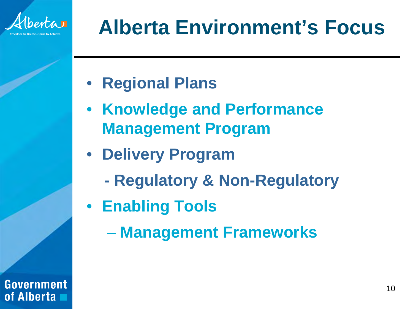

# **Alberta Environment's Focus**

- **Regional Plans**
- **Knowledge and Performance Management Program**
- **Delivery Program**
	- **- Regulatory & Non-Regulatory**
- **Enabling Tools**
	- **Management Frameworks**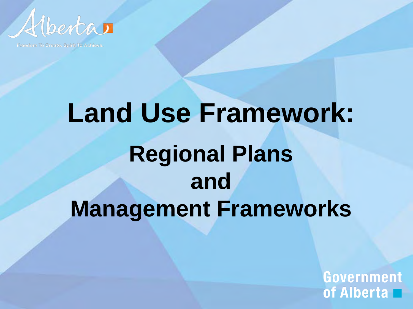

Freedom To Create, Spirit To Achieve.

# **Land Use Framework: Regional Plans and Management Frameworks**

Government of Alberta  $\Box$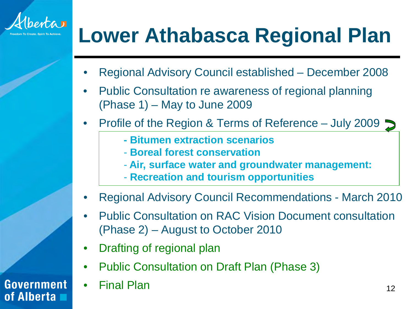

# **Lower Athabasca Regional Plan**

- Regional Advisory Council established December 2008
- Public Consultation re awareness of regional planning (Phase 1) – May to June 2009
- Profile of the Region & Terms of Reference July 2009
	- **- Bitumen extraction scenarios**
	- **Boreal forest conservation**
	- **Air, surface water and groundwater management:**
	- **Recreation and tourism opportunities**
- Regional Advisory Council Recommendations March 2010
- Public Consultation on RAC Vision Document consultation (Phase 2) – August to October 2010
- Drafting of regional plan
- Public Consultation on Draft Plan (Phase 3)
- Final Plan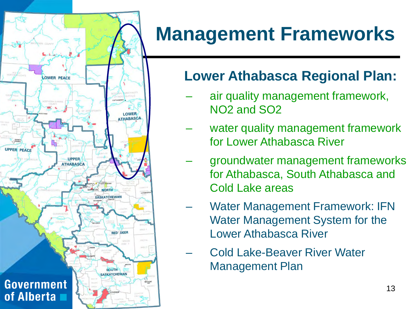

## **Management Frameworks**

#### **Lower Athabasca Regional Plan:**

- air quality management framework, NO2 and SO2
- water quality management framework for Lower Athabasca River
- groundwater management frameworks for Athabasca, South Athabasca and Cold Lake areas
- Water Management Framework: IFN Water Management System for the Lower Athabasca River
- Cold Lake-Beaver River Water Management Plan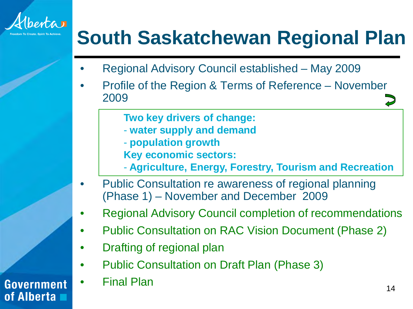

## **South Saskatchewan Regional Plan**

- Regional Advisory Council established May 2009
- Profile of the Region & Terms of Reference November 2009
	- **Two key drivers of change:**
	- **water supply and demand**
	- **population growth Key economic sectors:**
	- **Agriculture, Energy, Forestry, Tourism and Recreation**
- Public Consultation re awareness of regional planning (Phase 1) – November and December 2009
- Regional Advisory Council completion of recommendations
- Public Consultation on RAC Vision Document (Phase 2)
- Drafting of regional plan
- Public Consultation on Draft Plan (Phase 3)
- Final Plan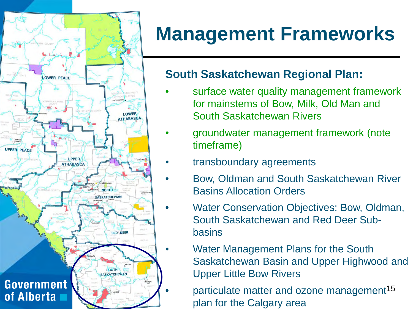

### **Management Frameworks**

#### **South Saskatchewan Regional Plan:**

- surface water quality management framework for mainstems of Bow, Milk, Old Man and South Saskatchewan Rivers
- groundwater management framework (note timeframe)
	- transboundary agreements
	- Bow, Oldman and South Saskatchewan River Basins Allocation Orders
	- Water Conservation Objectives: Bow, Oldman, South Saskatchewan and Red Deer Subbasins
		- Water Management Plans for the South Saskatchewan Basin and Upper Highwood and Upper Little Bow Rivers

• particulate matter and ozone management<sup>15</sup> plan for the Calgary area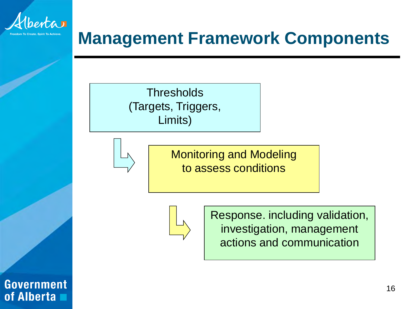

#### **Management Framework Components**

**Thresholds** (Targets, Triggers, Limits)



Monitoring and Modeling to assess conditions



Response. including validation, investigation, management actions and communication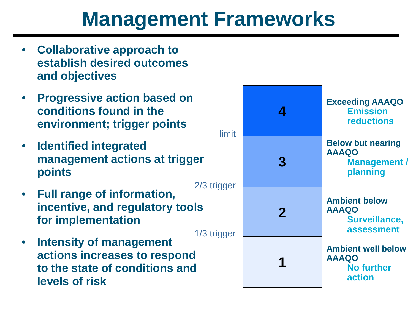## **Management Frameworks**

- **Collaborative approach to establish desired outcomes and objectives**
- **Progressive action based on conditions found in the environment; trigger points**
- **Identified integrated management actions at trigger points**
- **Full range of information, incentive, and regulatory tools for implementation**
- **Intensity of management actions increases to respond to the state of conditions and levels of risk**

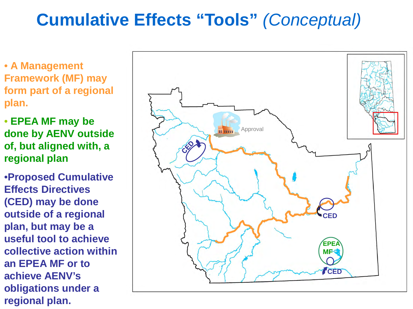#### **Cumulative Effects "Tools"** *(Conceptual)*

• **A Management Framework (MF) may form part of a regional plan.**

• **EPEA MF may be done by AENV outside of, but aligned with, a regional plan**

•**Proposed Cumulative Effects Directives (CED) may be done outside of a regional plan, but may be a useful tool to achieve collective action within an EPEA MF or to achieve AENV's obligations under a regional plan.**

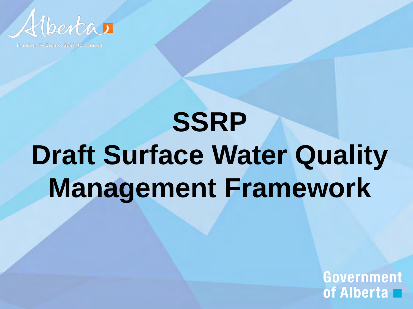

Freedom To Create. Spirit To Achieve.

# **SSRP Draft Surface Water Quality Management Framework**

Government of Alberta  $\blacksquare$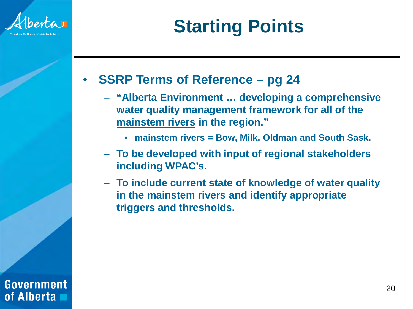

### **Starting Points**

#### • **SSRP Terms of Reference – pg 24**

- **"Alberta Environment … developing a comprehensive water quality management framework for all of the mainstem rivers in the region."**
	- **mainstem rivers = Bow, Milk, Oldman and South Sask.**
- **To be developed with input of regional stakeholders including WPAC's.**
- **To include current state of knowledge of water quality in the mainstem rivers and identify appropriate triggers and thresholds.**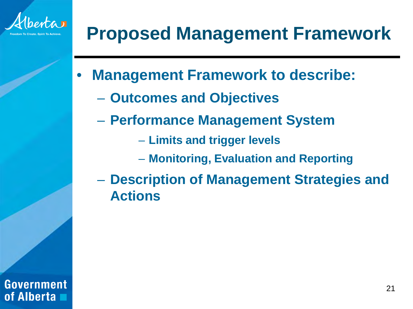

### **Proposed Management Framework**

- **Management Framework to describe:**
	- **Outcomes and Objectives**
	- **Performance Management System**
		- **Limits and trigger levels**
		- **Monitoring, Evaluation and Reporting**
	- **Description of Management Strategies and Actions**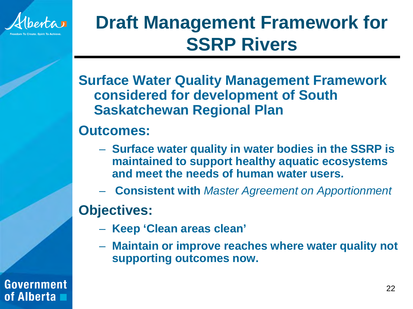

### **Draft Management Framework for SSRP Rivers**

**Surface Water Quality Management Framework considered for development of South Saskatchewan Regional Plan**

#### **Outcomes:**

- **Surface water quality in water bodies in the SSRP is maintained to support healthy aquatic ecosystems and meet the needs of human water users.**
- **Consistent with** *Master Agreement on Apportionment*

**Objectives:**

- **Keep 'Clean areas clean'**
- **Maintain or improve reaches where water quality not supporting outcomes now.**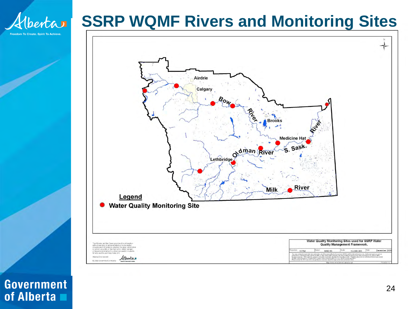

#### **SSRP WQMF Rivers and Monitoring Sites**



**Government** of Alberta  $\blacksquare$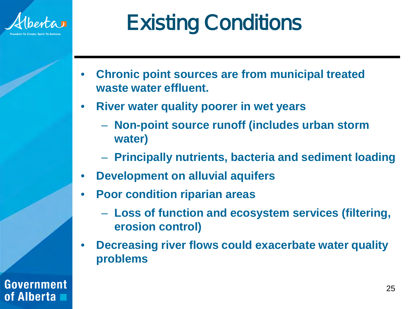

# Existing Conditions

- **Chronic point sources are from municipal treated waste water effluent.**
- **River water quality poorer in wet years**
	- **Non-point source runoff (includes urban storm water)**
	- **Principally nutrients, bacteria and sediment loading**
- **Development on alluvial aquifers**
- **Poor condition riparian areas**
	- **Loss of function and ecosystem services (filtering, erosion control)**
- **Decreasing river flows could exacerbate water quality problems**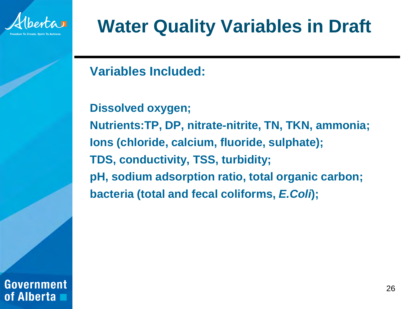

### **Water Quality Variables in Draft**

**Variables Included:**

**Dissolved oxygen; Nutrients:TP, DP, nitrate-nitrite, TN, TKN, ammonia; Ions (chloride, calcium, fluoride, sulphate); TDS, conductivity, TSS, turbidity; pH, sodium adsorption ratio, total organic carbon; bacteria (total and fecal coliforms,** *E.Coli***);**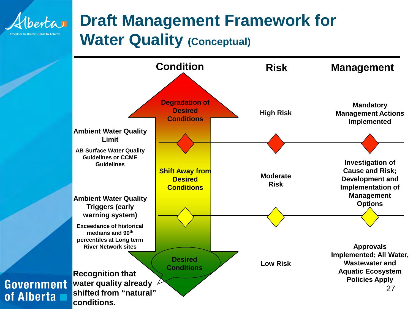

#### **Draft Management Framework for Water Quality (Conceptual)**

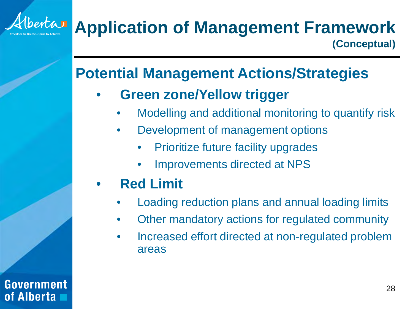

#### **Potential Management Actions/Strategies**

#### • **Green zone/Yellow trigger**

- Modelling and additional monitoring to quantify risk
- Development of management options
	- Prioritize future facility upgrades
	- Improvements directed at NPS

#### • **Red Limit**

Government

of Alberta

- Loading reduction plans and annual loading limits
- Other mandatory actions for regulated community
- Increased effort directed at non-regulated problem areas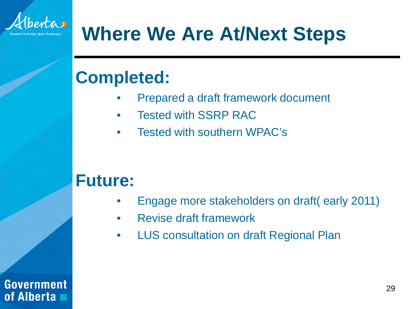

## **Where We Are At/Next Steps**

#### **Completed:**

- Prepared a draft framework document
- Tested with SSRP RAC
- Tested with southern WPAC's

#### **Future:**

- Engage more stakeholders on draft( early 2011)
- Revise draft framework
- LUS consultation on draft Regional Plan